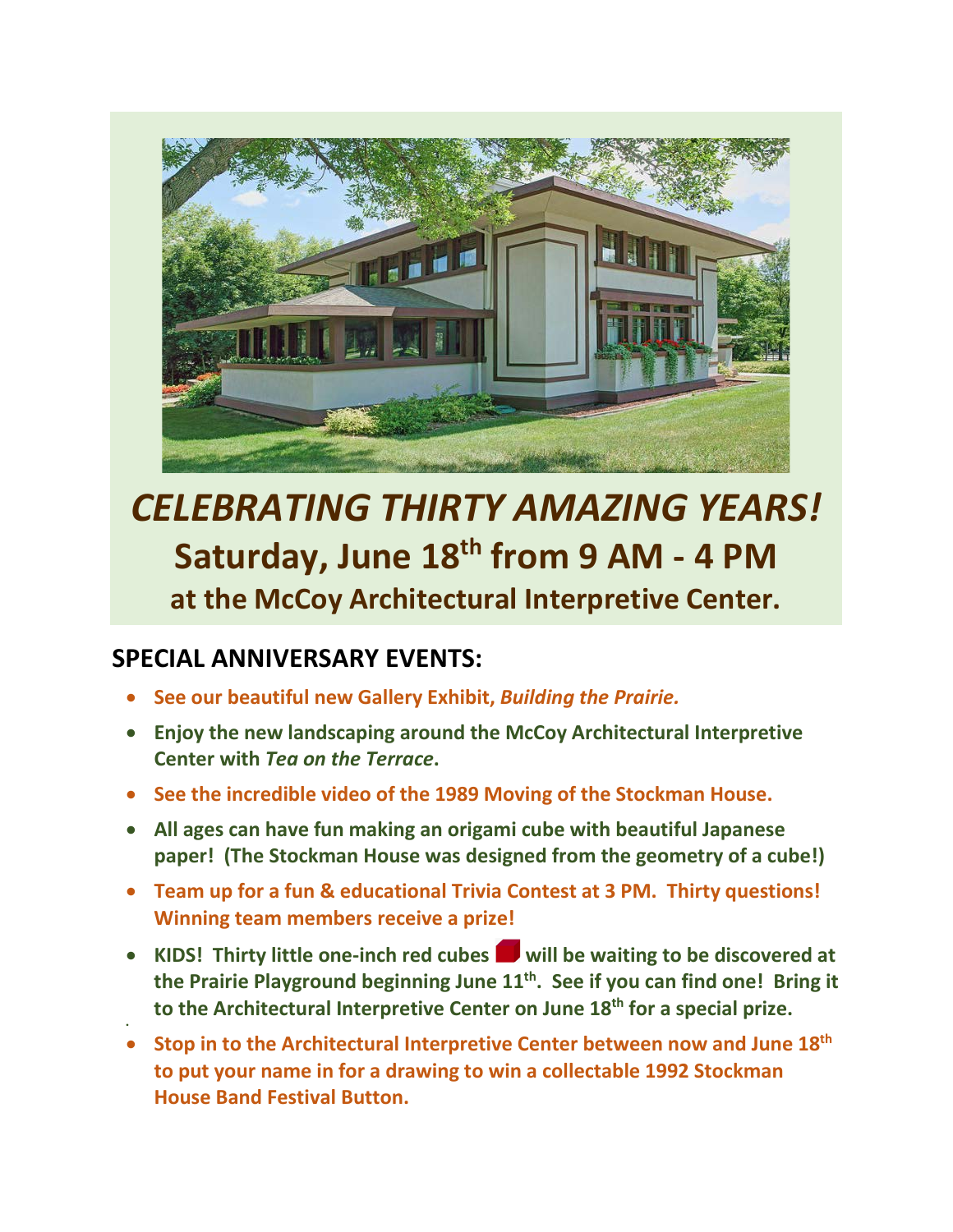

## *CELEBRATING THIRTY AMAZING YEARS!* **Saturday, June 18th from 9 AM - 4 PM at the McCoy Architectural Interpretive Center.**

## **SPECIAL ANNIVERSARY EVENTS:**

•

- **See our beautiful new Gallery Exhibit,** *Building the Prairie.*
- **Enjoy the new landscaping around the McCoy Architectural Interpretive Center with** *Tea on the Terrace***.**
- **See the incredible video of the 1989 Moving of the Stockman House.**
- **All ages can have fun making an origami cube with beautiful Japanese paper! (The Stockman House was designed from the geometry of a cube!)**
- **Team up for a fun & educational Trivia Contest at 3 PM. Thirty questions! Winning team members receive a prize!**
- **KIDS! Thirty little one-inch red cubes will be waiting to be discovered at the Prairie Playground beginning June 11th. See if you can find one! Bring it to the Architectural Interpretive Center on June 18th for a special prize.**
- **Stop in to the Architectural Interpretive Center between now and June 18th to put your name in for a drawing to win a collectable 1992 Stockman House Band Festival Button.**